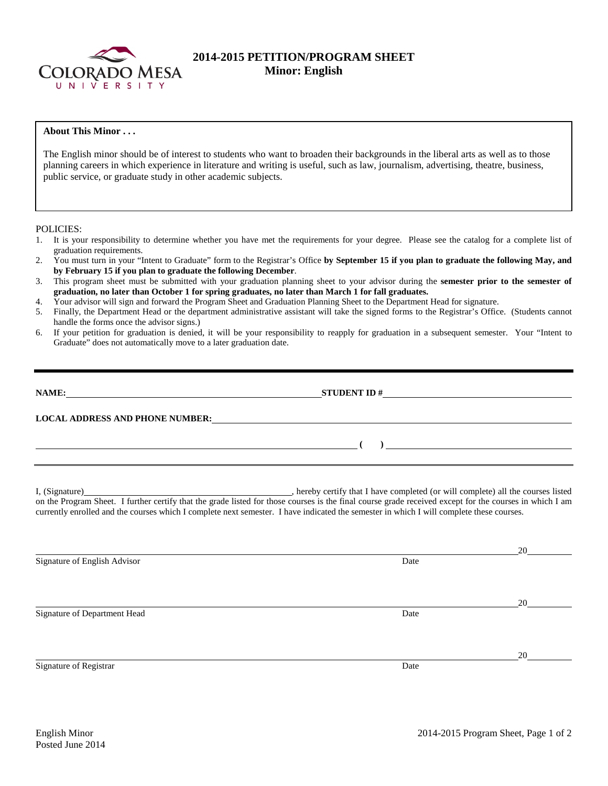

# **2014-2015 PETITION/PROGRAM SHEET Minor: English**

# **About This Minor . . .**

The English minor should be of interest to students who want to broaden their backgrounds in the liberal arts as well as to those planning careers in which experience in literature and writing is useful, such as law, journalism, advertising, theatre, business, public service, or graduate study in other academic subjects.

#### POLICIES:

- 1. It is your responsibility to determine whether you have met the requirements for your degree. Please see the catalog for a complete list of graduation requirements.
- 2. You must turn in your "Intent to Graduate" form to the Registrar's Office **by September 15 if you plan to graduate the following May, and by February 15 if you plan to graduate the following December**.
- 3. This program sheet must be submitted with your graduation planning sheet to your advisor during the **semester prior to the semester of graduation, no later than October 1 for spring graduates, no later than March 1 for fall graduates.**
- 4. Your advisor will sign and forward the Program Sheet and Graduation Planning Sheet to the Department Head for signature.
- 5. Finally, the Department Head or the department administrative assistant will take the signed forms to the Registrar's Office. (Students cannot handle the forms once the advisor signs.)
- 6. If your petition for graduation is denied, it will be your responsibility to reapply for graduation in a subsequent semester. Your "Intent to Graduate" does not automatically move to a later graduation date.

| NAME:                                  | <b>STUDENT ID#</b>                                                                                                    | <u>and the state of the state of the state of the state of the state of the state of the state of the state of th</u> |
|----------------------------------------|-----------------------------------------------------------------------------------------------------------------------|-----------------------------------------------------------------------------------------------------------------------|
| <b>LOCAL ADDRESS AND PHONE NUMBER:</b> | <u>and the state of the state of the state of the state of the state of the state of the state of the state of th</u> |                                                                                                                       |

I, (Signature) , hereby certify that I have completed (or will complete) all the courses listed on the Program Sheet. I further certify that the grade listed for those courses is the final course grade received except for the courses in which I am currently enrolled and the courses which I complete next semester. I have indicated the semester in which I will complete these courses.

|                              |      | 20 |
|------------------------------|------|----|
| Signature of English Advisor | Date |    |
|                              |      |    |
|                              |      |    |
|                              |      | 20 |
| Signature of Department Head | Date |    |
|                              |      |    |
|                              |      |    |
|                              |      | 20 |
| Signature of Registrar       | Date |    |
|                              |      |    |
|                              |      |    |